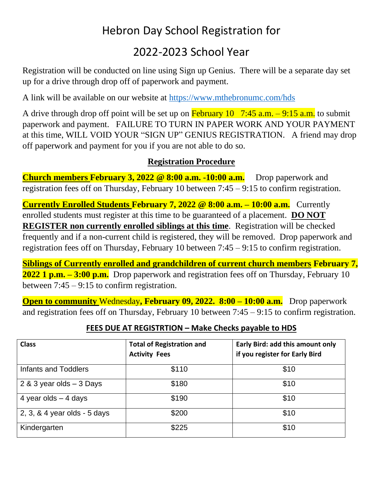# Hebron Day School Registration for

# 2022-2023 School Year

Registration will be conducted on line using Sign up Genius. There will be a separate day set up for a drive through drop off of paperwork and payment.

A link will be available on our website at <https://www.mthebronumc.com/hds>

A drive through drop off point will be set up on **February 10** 7:45 a.m.  $-9:15$  a.m. to submit paperwork and payment. FAILURE TO TURN IN PAPER WORK AND YOUR PAYMENT at this time, WILL VOID YOUR "SIGN UP" GENIUS REGISTRATION. A friend may drop off paperwork and payment for you if you are not able to do so.

#### **Registration Procedure**

**Church members February 3, 2022 @ 8:00 a.m. -10:00 a.m.** Drop paperwork and registration fees off on Thursday, February 10 between 7:45 – 9:15 to confirm registration.

**Currently Enrolled Students February 7, 2022 @ 8:00 a.m. – 10:00 a.m.** Currently enrolled students must register at this time to be guaranteed of a placement. **DO NOT REGISTER non currently enrolled siblings at this time**. Registration will be checked frequently and if a non-current child is registered, they will be removed. Drop paperwork and registration fees off on Thursday, February 10 between 7:45 – 9:15 to confirm registration.

**Siblings of Currently enrolled and grandchildren of current church members February 7, 2022 1 p.m. – 3:00 p.m.** Drop paperwork and registration fees off on Thursday, February 10 between 7:45 – 9:15 to confirm registration.

**Open to community** Wednesday**, February 09, 2022. 8:00 – 10:00 a.m.** Drop paperwork and registration fees off on Thursday, February 10 between 7:45 – 9:15 to confirm registration.

| <b>Class</b>                 | <b>Total of Registration and</b><br><b>Activity Fees</b> | Early Bird: add this amount only<br>if you register for Early Bird |
|------------------------------|----------------------------------------------------------|--------------------------------------------------------------------|
| <b>Infants and Toddlers</b>  | \$110                                                    | \$10                                                               |
| 2 & 3 year olds $-$ 3 Days   | \$180                                                    | \$10                                                               |
| 4 year olds $-$ 4 days       | \$190                                                    | \$10                                                               |
| 2, 3, & 4 year olds - 5 days | \$200                                                    | \$10                                                               |
| Kindergarten                 | \$225                                                    | \$10                                                               |

## **FEES DUE AT REGISTRTION – Make Checks payable to HDS**